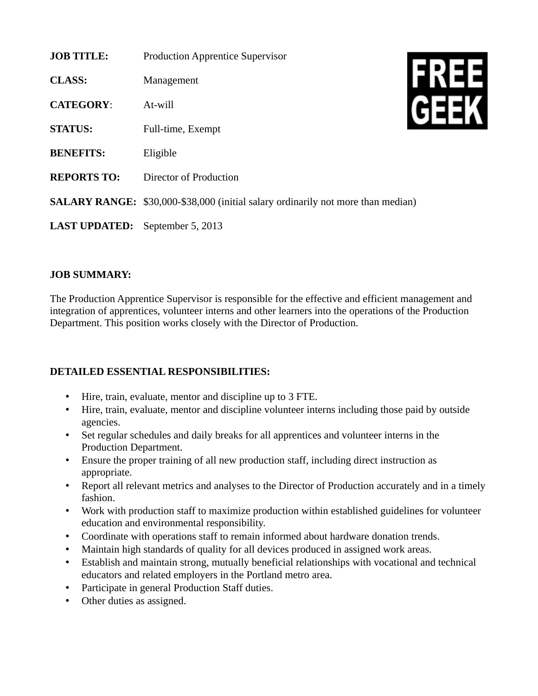| <b>JOB TITLE:</b>                      | <b>Production Apprentice Supervisor</b>                                          |
|----------------------------------------|----------------------------------------------------------------------------------|
| <b>CLASS:</b>                          | Management                                                                       |
| <b>CATEGORY:</b>                       | At-will                                                                          |
| <b>STATUS:</b>                         | Full-time, Exempt                                                                |
| <b>BENEFITS:</b>                       | Eligible                                                                         |
| <b>REPORTS TO:</b>                     | Director of Production                                                           |
|                                        | SALARY RANGE: \$30,000-\$38,000 (initial salary ordinarily not more than median) |
| <b>LAST UPDATED:</b> September 5, 2013 |                                                                                  |

## **JOB SUMMARY:**

The Production Apprentice Supervisor is responsible for the effective and efficient management and integration of apprentices, volunteer interns and other learners into the operations of the Production Department. This position works closely with the Director of Production.

## **DETAILED ESSENTIAL RESPONSIBILITIES:**

- Hire, train, evaluate, mentor and discipline up to 3 FTE.
- Hire, train, evaluate, mentor and discipline volunteer interns including those paid by outside agencies.
- Set regular schedules and daily breaks for all apprentices and volunteer interns in the Production Department.
- Ensure the proper training of all new production staff, including direct instruction as appropriate.
- Report all relevant metrics and analyses to the Director of Production accurately and in a timely fashion.
- Work with production staff to maximize production within established guidelines for volunteer education and environmental responsibility.
- Coordinate with operations staff to remain informed about hardware donation trends.
- Maintain high standards of quality for all devices produced in assigned work areas.
- Establish and maintain strong, mutually beneficial relationships with vocational and technical educators and related employers in the Portland metro area.
- Participate in general Production Staff duties.
- Other duties as assigned.